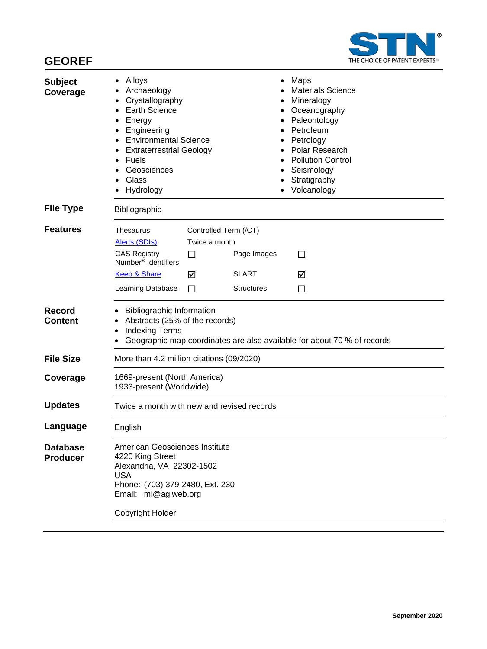

| <b>Subject</b><br>Coverage      | Alloys<br>Archaeology<br>Crystallography<br><b>Earth Science</b><br>Energy<br>Engineering<br><b>Environmental Science</b><br><b>Extraterrestrial Geology</b><br>$\bullet$<br><b>Fuels</b><br>$\bullet$<br>Geosciences<br>Glass<br>Hydrology |                                                  | Maps<br><b>Materials Science</b><br>Mineralogy<br>Oceanography<br>Paleontology<br>Petroleum<br>Petrology<br>Polar Research<br><b>Pollution Control</b><br>Seismology<br>Stratigraphy<br>Volcanology |        |
|---------------------------------|---------------------------------------------------------------------------------------------------------------------------------------------------------------------------------------------------------------------------------------------|--------------------------------------------------|-----------------------------------------------------------------------------------------------------------------------------------------------------------------------------------------------------|--------|
| <b>File Type</b>                | Bibliographic                                                                                                                                                                                                                               |                                                  |                                                                                                                                                                                                     |        |
| <b>Features</b>                 | <b>Thesaurus</b><br>Alerts (SDIs)<br><b>CAS Registry</b><br>Number <sup>®</sup> Identifiers                                                                                                                                                 | Controlled Term (/CT)<br>Twice a month<br>$\Box$ | Page Images                                                                                                                                                                                         | П      |
|                                 | <b>Keep &amp; Share</b><br>Learning Database                                                                                                                                                                                                | ☑<br>□                                           | <b>SLART</b><br><b>Structures</b>                                                                                                                                                                   | ☑<br>□ |
| <b>Record</b><br><b>Content</b> | <b>Bibliographic Information</b><br>Abstracts (25% of the records)<br><b>Indexing Terms</b><br>Geographic map coordinates are also available for about 70 % of records                                                                      |                                                  |                                                                                                                                                                                                     |        |
| <b>File Size</b>                | More than 4.2 million citations (09/2020)                                                                                                                                                                                                   |                                                  |                                                                                                                                                                                                     |        |
| Coverage                        | 1669-present (North America)<br>1933-present (Worldwide)                                                                                                                                                                                    |                                                  |                                                                                                                                                                                                     |        |
| <b>Updates</b>                  | Twice a month with new and revised records                                                                                                                                                                                                  |                                                  |                                                                                                                                                                                                     |        |
| Language                        | English                                                                                                                                                                                                                                     |                                                  |                                                                                                                                                                                                     |        |
| <b>Database</b><br>Producer     | American Geosciences Institute<br>4220 King Street<br>Alexandria, VA 22302-1502<br><b>USA</b><br>Phone: (703) 379-2480, Ext. 230<br>Email: ml@agiweb.org<br>Copyright Holder                                                                |                                                  |                                                                                                                                                                                                     |        |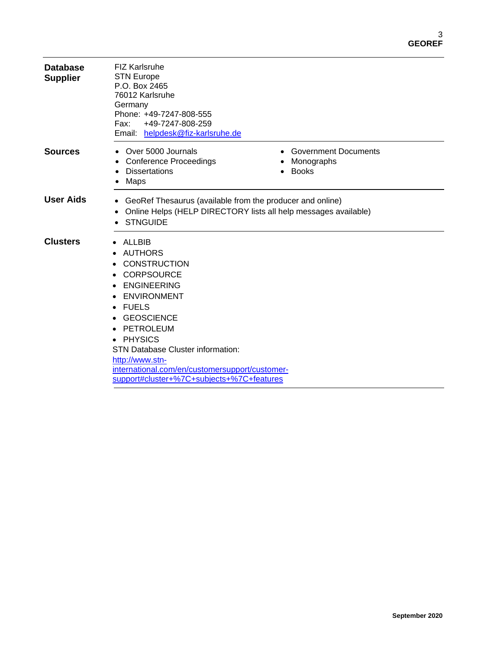| <b>Database</b><br><b>Supplier</b> | <b>FIZ Karlsruhe</b><br><b>STN Europe</b><br>P.O. Box 2465<br>76012 Karlsruhe<br>Germany<br>Phone: +49-7247-808-555<br>+49-7247-808-259<br>Fax:<br>Email: helpdesk@fiz-karlsruhe.de                                                                                                                                                                                                |                                                           |
|------------------------------------|------------------------------------------------------------------------------------------------------------------------------------------------------------------------------------------------------------------------------------------------------------------------------------------------------------------------------------------------------------------------------------|-----------------------------------------------------------|
| <b>Sources</b>                     | Over 5000 Journals<br><b>Conference Proceedings</b><br><b>Dissertations</b><br>Maps                                                                                                                                                                                                                                                                                                | <b>Government Documents</b><br>Monographs<br><b>Books</b> |
| <b>User Aids</b>                   | GeoRef Thesaurus (available from the producer and online)<br>Online Helps (HELP DIRECTORY lists all help messages available)<br><b>STNGUIDE</b>                                                                                                                                                                                                                                    |                                                           |
| <b>Clusters</b>                    | ALLBIB<br>$\bullet$<br>AUTHORS<br><b>CONSTRUCTION</b><br><b>CORPSOURCE</b><br><b>ENGINEERING</b><br><b>ENVIRONMENT</b><br><b>FUELS</b><br>$\bullet$<br><b>GEOSCIENCE</b><br>PETROLEUM<br><b>PHYSICS</b><br>$\bullet$<br><b>STN Database Cluster information:</b><br>http://www.stn-<br>international.com/en/customersupport/customer-<br>support#cluster+%7C+subjects+%7C+features |                                                           |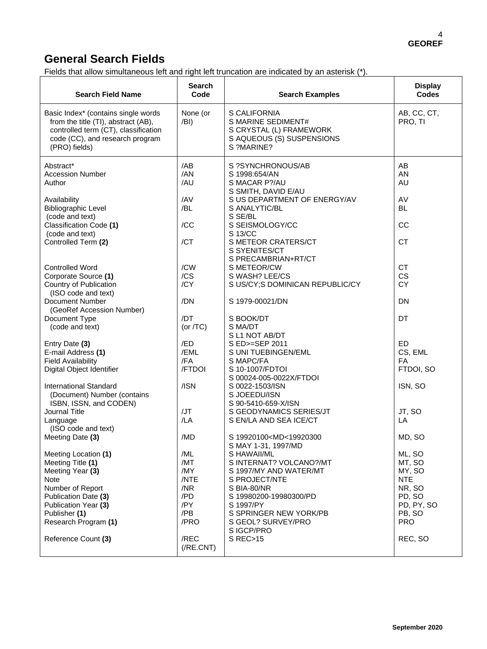### **General Search Fields**

Fields that allow simultaneous left and right left truncation are indicated by an asterisk (\*).

| <b>Search Field Name</b>                                                                                                                                               | Search<br>Code                  | <b>Search Examples</b>                                                                                                                 | <b>Display</b><br><b>Codes</b>               |
|------------------------------------------------------------------------------------------------------------------------------------------------------------------------|---------------------------------|----------------------------------------------------------------------------------------------------------------------------------------|----------------------------------------------|
| Basic Index* (contains single words<br>from the title (TI), abstract (AB),<br>controlled term (CT), classification<br>code (CC), and research program<br>(PRO) fields) | None (or<br>/BI)                | S CALIFORNIA<br>S MARINE SEDIMENT#<br>S CRYSTAL (L) FRAMEWORK<br>S AQUEOUS (S) SUSPENSIONS<br>S ?MARINE?                               | AB, CC, CT,<br>PRO, TI                       |
| Abstract*<br><b>Accession Number</b><br>Author<br>Availability<br><b>Bibliographic Level</b><br>(code and text)                                                        | /AB<br>/AN<br>/AU<br>/AV<br>/BL | S ?SYNCHRONOUS/AB<br>S 1998:654/AN<br>S MACAR P?/AU<br>S SMITH, DAVID E/AU<br>S US DEPARTMENT OF ENERGY/AV<br>S ANALYTIC/BL<br>S SE/BL | AB<br>AN<br>AU<br>AV<br><b>BL</b>            |
| Classification Code (1)<br>(code and text)<br>Controlled Term (2)                                                                                                      | /CC<br>/CT                      | S SEISMOLOGY/CC<br>S 13/CC<br>S METEOR CRATERS/CT                                                                                      | CC<br><b>CT</b>                              |
| <b>Controlled Word</b><br>Corporate Source (1)<br>Country of Publication                                                                                               | /CW<br>/CS<br>/CY               | S SYENITES/CT<br>S PRECAMBRIAN+RT/CT<br>S METEOR/CW<br>S WASH? LEE/CS<br>S US/CY; S DOMINICAN REPUBLIC/CY                              | <b>CT</b><br>CS<br><b>CY</b>                 |
| (ISO code and text)<br>Document Number<br>(GeoRef Accession Number)                                                                                                    | /DN                             | S 1979-00021/DN                                                                                                                        | <b>DN</b>                                    |
| Document Type<br>(code and text)                                                                                                                                       | /DT<br>(or $/TC$ )              | S BOOK/DT<br>S MA/DT<br>S L1 NOT AB/DT                                                                                                 | DT                                           |
| Entry Date (3)<br>E-mail Address (1)<br><b>Field Availability</b><br>Digital Object Identifier                                                                         | /ED<br>/EML<br>/FA<br>/FTDOI    | S ED>=SEP 2011<br>S UNI TUEBINGEN/EML<br>S MAPC/FA<br>S 10-1007/FDTOI<br>S 00024-005-0022X/FTDOI                                       | ED<br>CS, EML<br>FA<br>FTDOI, SO             |
| <b>International Standard</b><br>(Document) Number (contains<br>ISBN, ISSN, and CODEN)                                                                                 | /ISN                            | S 0022-1503/ISN<br>S JOEEDU/ISN<br>S 90-5410-659-X/ISN                                                                                 | ISN, SO                                      |
| Journal Title<br>Language<br>(ISO code and text)                                                                                                                       | /JT<br>/LA                      | S GEODYNAMICS SERIES/JT<br>S EN/LA AND SEA ICE/CT                                                                                      | JT, SO<br>LA                                 |
| Meeting Date (3)<br>Meeting Location (1)                                                                                                                               | /MD<br>/ML                      | S 19920100 <md<19920300<br>S MAY 1-31, 1997/MD<br/>S HAWAII/ML</md<19920300<br>                                                        | MD, SO<br>ML, SO                             |
| Meeting Title (1)<br>Meeting Year (3)<br>Note<br>Number of Report                                                                                                      | /MT<br>/MY<br>/NTE<br>/NR       | S INTERNAT? VOLCANO?/MT<br>S 1997/MY AND WATER/MT<br>S PROJECT/NTE<br>S BIA-80/NR                                                      | MT, SO<br>MY, SO<br><b>NTE</b><br>NR, SO     |
| Publication Date (3)<br>Publication Year (3)<br>Publisher (1)<br>Research Program (1)                                                                                  | /PD<br>/PY<br>/PB<br>/PRO       | S 19980200-19980300/PD<br>S 1997/PY<br>S SPRINGER NEW YORK/PB<br>S GEOL? SURVEY/PRO                                                    | PD, SO<br>PD, PY, SO<br>PB, SO<br><b>PRO</b> |
| Reference Count (3)                                                                                                                                                    | /REC<br>$($ / $RE.CNT)$         | S IGCP/PRO<br>S REC>15                                                                                                                 | REC, SO                                      |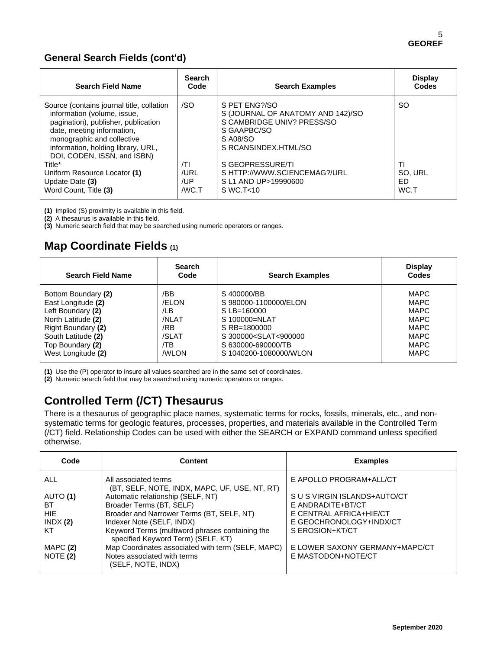#### **General Search Fields (cont'd)**

| <b>Search Field Name</b>                                                                                                                                                                                                                         | <b>Search</b><br>Code      | <b>Search Examples</b>                                                                                                              | <b>Display</b><br>Codes      |
|--------------------------------------------------------------------------------------------------------------------------------------------------------------------------------------------------------------------------------------------------|----------------------------|-------------------------------------------------------------------------------------------------------------------------------------|------------------------------|
| Source (contains journal title, collation<br>information (volume, issue,<br>pagination), publisher, publication<br>date, meeting information,<br>monographic and collective<br>information, holding library, URL,<br>DOI, CODEN, ISSN, and ISBN) | /SO                        | S PET ENG?/SO<br>S (JOURNAL OF ANATOMY AND 142)/SO<br>S CAMBRIDGE UNIV? PRESS/SO<br>S GAAPBC/SO<br>S A08/SO<br>S RCANSINDEX.HTML/SO | SO.                          |
| Title*<br>Uniform Resource Locator (1)<br>Update Date (3)<br>Word Count, Title (3)                                                                                                                                                               | T <br>/URL<br>/UP<br>/WC.T | S GEOPRESSURE/TI<br>S HTTP://WWW.SCIENCEMAG?/URL<br>S L1 AND UP>19990600<br>$S$ WC.T $<$ 10                                         | ΤI<br>SO. URL<br>FD.<br>WC.T |

**(1)** Implied (S) proximity is available in this field.

**(2)** A thesaurus is available in this field.

**(3)** Numeric search field that may be searched using numeric operators or ranges.

### **Map Coordinate Fields (1)**

| <b>Search Field Name</b> | <b>Search</b><br>Code | <b>Search Examples</b>                                    | <b>Display</b><br>Codes |
|--------------------------|-----------------------|-----------------------------------------------------------|-------------------------|
| Bottom Boundary (2)      | /BB                   | S 400000/BB                                               | MAPC                    |
| East Longitude (2)       | /ELON                 | S980000-1100000/ELON                                      | MAPC                    |
| Left Boundary (2)        | /LB                   | S LB=160000                                               | MAPC                    |
| North Latitude (2)       | /NI AT                | S 100000=NLAT                                             | MAPC                    |
| Right Boundary (2)       | /RB                   | S RB=1800000                                              | MAPC                    |
| South Latitude (2)       | /SLAT                 | S 300000 <slat<900000< td=""><td>MAPC</td></slat<900000<> | MAPC                    |
| Top Boundary (2)         | /TB                   | S 630000-690000/TB                                        | MAPC                    |
| West Longitude (2)       | <b>/WLON</b>          | S 1040200-1080000/WLON                                    | <b>MAPC</b>             |

**(1)** Use the (P) operator to insure all values searched are in the same set of coordinates.

**(2)** Numeric search field that may be searched using numeric operators or ranges.

# **Controlled Term (/CT) Thesaurus**

There is a thesaurus of geographic place names, systematic terms for rocks, fossils, minerals, etc., and nonsystematic terms for geologic features, processes, properties, and materials available in the Controlled Term (/CT) field. Relationship Codes can be used with either the SEARCH or EXPAND command unless specified otherwise.

| Code                                                     | Content                                                                                                                                                                                                                                                                                                                                                               | <b>Examples</b>                                                                                                                                                                    |
|----------------------------------------------------------|-----------------------------------------------------------------------------------------------------------------------------------------------------------------------------------------------------------------------------------------------------------------------------------------------------------------------------------------------------------------------|------------------------------------------------------------------------------------------------------------------------------------------------------------------------------------|
| ALL                                                      | All associated terms                                                                                                                                                                                                                                                                                                                                                  | E APOLLO PROGRAM+ALL/CT                                                                                                                                                            |
| AUTO (1)<br>ВT<br><b>HIE</b><br>INDX(2)<br>KT<br>MAPC(2) | (BT, SELF, NOTE, INDX, MAPC, UF, USE, NT, RT)<br>Automatic relationship (SELF, NT)<br>Broader Terms (BT, SELF)<br>Broader and Narrower Terms (BT, SELF, NT)<br>Indexer Note (SELF, INDX)<br>Keyword Terms (multiword phrases containing the<br>specified Keyword Term) (SELF, KT)<br>Map Coordinates associated with term (SELF, MAPC)<br>Notes associated with terms | S U S VIRGIN ISLANDS+AUTO/CT<br>E ANDRADITE+BT/CT<br>E CENTRAL AFRICA+HIE/CT<br>E GEOCHRONOLOGY+INDX/CT<br>S EROSION+KT/CT<br>E LOWER SAXONY GERMANY+MAPC/CT<br>E MASTODON+NOTE/CT |
| NOTE (2)                                                 | (SELF, NOTE, INDX)                                                                                                                                                                                                                                                                                                                                                    |                                                                                                                                                                                    |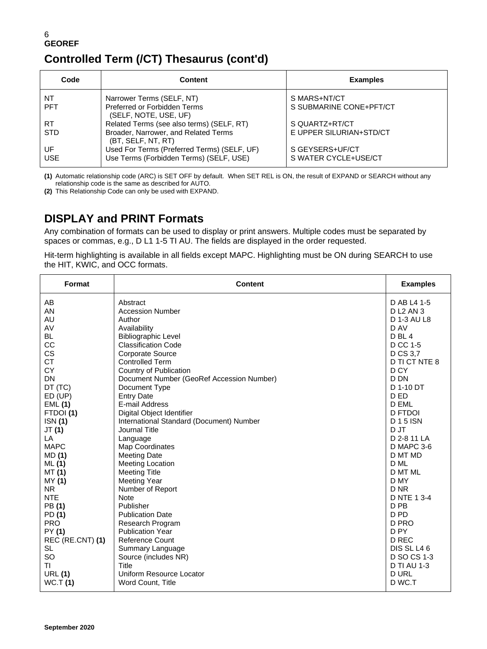## **Controlled Term (/CT) Thesaurus (cont'd)**

| Code       | <b>Content</b>                                             | <b>Examples</b>         |
|------------|------------------------------------------------------------|-------------------------|
| NT         | Narrower Terms (SELF, NT)                                  | S MARS+NT/CT            |
| <b>PFT</b> | Preferred or Forbidden Terms<br>(SELF, NOTE, USE, UF)      | S SUBMARINE CONE+PFT/CT |
| <b>RT</b>  | Related Terms (see also terms) (SELF, RT)                  | S QUARTZ+RT/CT          |
| <b>STD</b> | Broader, Narrower, and Related Terms<br>(BT, SELF, NT, RT) | E UPPER SILURIAN+STD/CT |
| UF         | Used For Terms (Preferred Terms) (SELF, UF)                | S GEYSERS+UF/CT         |
| <b>USE</b> | Use Terms (Forbidden Terms) (SELF, USE)                    | S WATER CYCLE+USE/CT    |

**(1)** Automatic relationship code (ARC) is SET OFF by default. When SET REL is ON, the result of EXPAND or SEARCH without any relationship code is the same as described for AUTO.

**(2)** This Relationship Code can only be used with EXPAND.

### **DISPLAY and PRINT Formats**

Any combination of formats can be used to display or print answers. Multiple codes must be separated by spaces or commas, e.g., D L1 1-5 TI AU. The fields are displayed in the order requested.

Hit-term highlighting is available in all fields except MAPC. Highlighting must be ON during SEARCH to use the HIT, KWIC, and OCC formats.

| Format           | <b>Content</b>                            | <b>Examples</b>    |
|------------------|-------------------------------------------|--------------------|
| AB               | Abstract                                  | D AB L4 1-5        |
| AN               | <b>Accession Number</b>                   | <b>DL2 AN3</b>     |
| <b>AU</b>        | Author                                    | D 1-3 AU L8        |
| AV               | Availability                              | D AV               |
| <b>BL</b>        | <b>Bibliographic Level</b>                | D <sub>BL</sub> 4  |
| CC               | <b>Classification Code</b>                | D CC 1-5           |
| CS               | <b>Corporate Source</b>                   | D CS 3,7           |
| <b>CT</b>        | <b>Controlled Term</b>                    | D TI CT NTE 8      |
| <b>CY</b>        | Country of Publication                    | D CY               |
| DN               | Document Number (GeoRef Accession Number) | D DN               |
| DT (TC)          | Document Type                             | D 1-10 DT          |
| ED (UP)          | <b>Entry Date</b>                         | D ED               |
| <b>EML (1)</b>   | E-mail Address                            | D EML              |
| FTDOI(1)         | Digital Object Identifier                 | <b>D FTDOI</b>     |
| ISN (1)          | International Standard (Document) Number  | <b>D15</b> ISN     |
| JT (1)           | Journal Title                             | D JT               |
| LA               | Language                                  | D 2-8 11 LA        |
| <b>MAPC</b>      | Map Coordinates                           | D MAPC 3-6         |
| <b>MD</b> (1)    | <b>Meeting Date</b>                       | D MT MD            |
| ML(1)            | <b>Meeting Location</b>                   | D ML               |
| <b>MT (1)</b>    | <b>Meeting Title</b>                      | D MT ML            |
| MY (1)           | <b>Meeting Year</b>                       | D MY               |
| <b>NR</b>        | Number of Report                          | D NR               |
| <b>NTE</b>       | <b>Note</b>                               | D NTE 1 3-4        |
| PB (1)           | Publisher                                 | D <sub>PB</sub>    |
| PD (1)           | <b>Publication Date</b>                   | D <sub>PD</sub>    |
| <b>PRO</b>       | Research Program                          | D PRO              |
| PY (1)           | <b>Publication Year</b>                   | D <sub>PY</sub>    |
| REC (RE.CNT) (1) | <b>Reference Count</b>                    | D REC              |
| <b>SL</b>        | Summary Language                          | DIS SL L46         |
| SO               | Source (includes NR)                      | D SO CS 1-3        |
| ΤI               | Title                                     | <b>D TI AU 1-3</b> |
| <b>URL (1)</b>   | Uniform Resource Locator                  | <b>DURL</b>        |
| WC.T(1)          | Word Count, Title                         | D WC.T             |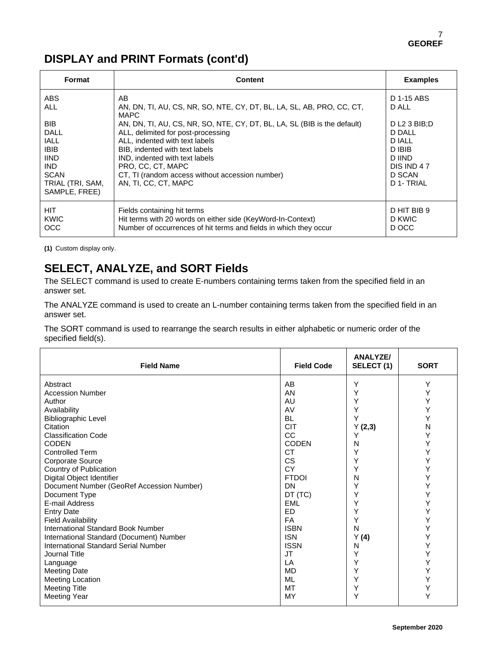## **DISPLAY and PRINT Formats (cont'd)**

| Format                                                                                                                                                               | Content                                                                                                                                                                                                                                                                                                                                                                                                            | <b>Examples</b>                                                                                                         |
|----------------------------------------------------------------------------------------------------------------------------------------------------------------------|--------------------------------------------------------------------------------------------------------------------------------------------------------------------------------------------------------------------------------------------------------------------------------------------------------------------------------------------------------------------------------------------------------------------|-------------------------------------------------------------------------------------------------------------------------|
| <b>ABS</b><br><b>ALL</b><br><b>BIB</b><br><b>DALL</b><br><b>IALL</b><br><b>IBIB</b><br><b>IIND</b><br><b>IND</b><br><b>SCAN</b><br>TRIAL (TRI, SAM,<br>SAMPLE, FREE) | AB<br>AN, DN, TI, AU, CS, NR, SO, NTE, CY, DT, BL, LA, SL, AB, PRO, CC, CT,<br><b>MAPC</b><br>AN, DN, TI, AU, CS, NR, SO, NTE, CY, DT, BL, LA, SL (BIB is the default)<br>ALL, delimited for post-processing<br>ALL, indented with text labels<br>BIB, indented with text labels<br>IND, indented with text labels<br>PRO, CC, CT, MAPC<br>CT, TI (random access without accession number)<br>AN, TI, CC, CT, MAPC | D 1-15 ABS<br>D ALL<br>DL2 3 BIB:D<br>D DALL<br><b>D IALL</b><br>D IBIB<br>D IIND<br>DIS IND 47<br>D SCAN<br>D 1- TRIAL |
| <b>HIT</b><br>KWIC<br><b>OCC</b>                                                                                                                                     | Fields containing hit terms<br>Hit terms with 20 words on either side (KeyWord-In-Context)<br>Number of occurrences of hit terms and fields in which they occur                                                                                                                                                                                                                                                    | D HIT BIB 9<br>D KWIC<br>D OCC                                                                                          |

**(1)** Custom display only.

# **SELECT, ANALYZE, and SORT Fields**

The SELECT command is used to create E-numbers containing terms taken from the specified field in an answer set.

The ANALYZE command is used to create an L-number containing terms taken from the specified field in an answer set.

The SORT command is used to rearrange the search results in either alphabetic or numeric order of the specified field(s).

| <b>Field Name</b>                         | <b>Field Code</b> | <b>ANALYZE/</b><br>SELECT (1) | <b>SORT</b> |
|-------------------------------------------|-------------------|-------------------------------|-------------|
| Abstract                                  | AB                | Υ                             | Υ           |
| <b>Accession Number</b>                   | AN                | Υ                             | Υ           |
| Author                                    | AU                | Υ                             | Υ           |
| Availability                              | AV                | Υ                             | Υ           |
| <b>Bibliographic Level</b>                | <b>BL</b>         | Y                             | Υ           |
| Citation                                  | <b>CIT</b>        | Y(2,3)                        | Ν           |
| <b>Classification Code</b>                | cc                | Υ                             | Υ           |
| <b>CODEN</b>                              | <b>CODEN</b>      | N                             | Υ           |
| <b>Controlled Term</b>                    | <b>CT</b>         | Υ                             | Υ           |
| <b>Corporate Source</b>                   | CS                | Y                             | Υ           |
| Country of Publication                    | CY                | Υ                             | Υ           |
| Digital Object Identifier                 | <b>FTDOI</b>      | N                             | Υ           |
| Document Number (GeoRef Accession Number) | <b>DN</b>         | Y                             | Y           |
| Document Type                             | DT (TC)           | Y                             | Υ           |
| E-mail Address                            | <b>FML</b>        | Y                             | Υ           |
| <b>Entry Date</b>                         | <b>ED</b>         | Υ                             | Υ           |
| <b>Field Availability</b>                 | <b>FA</b>         | Y                             | Υ           |
| <b>International Standard Book Number</b> | <b>ISBN</b>       | N                             | Υ           |
| International Standard (Document) Number  | <b>ISN</b>        | Y(4)                          | Υ           |
| International Standard Serial Number      | <b>ISSN</b>       | N                             | Υ           |
| Journal Title                             | <b>JT</b>         | Y                             | Υ           |
| Language                                  | LA                | Υ                             | Y           |
| <b>Meeting Date</b>                       | <b>MD</b>         | Υ                             | Υ           |
| <b>Meeting Location</b>                   | <b>ML</b>         | Υ                             | Υ           |
| <b>Meeting Title</b>                      | <b>MT</b>         | Υ                             | Υ           |
| <b>Meeting Year</b>                       | MY                | Y                             | Υ           |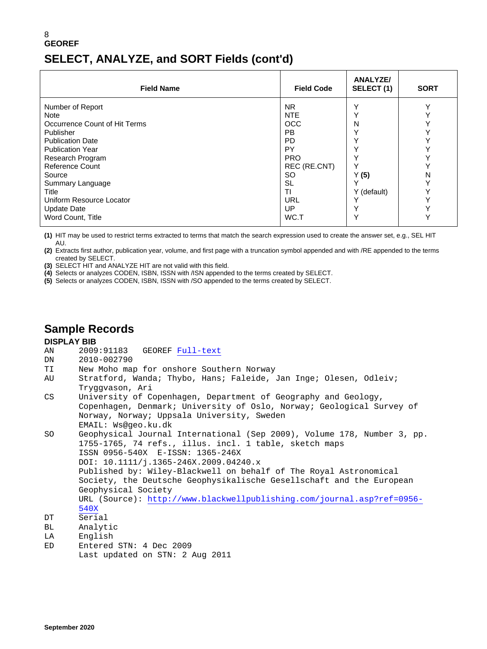#### 8 **GEOREF SELECT, ANALYZE, and SORT Fields (cont'd)**

| <b>Field Name</b>                                                                                                                                                                                                                      | <b>Field Code</b>                                                                                                                                             | <b>ANALYZE/</b><br>SELECT(1)                                                         | <b>SORT</b> |
|----------------------------------------------------------------------------------------------------------------------------------------------------------------------------------------------------------------------------------------|---------------------------------------------------------------------------------------------------------------------------------------------------------------|--------------------------------------------------------------------------------------|-------------|
| Number of Report<br>Note<br>Occurrence Count of Hit Terms<br>Publisher<br><b>Publication Date</b><br><b>Publication Year</b><br>Research Program<br>Reference Count<br>Source<br>Summary Language<br>Title<br>Uniform Resource Locator | N <sub>R</sub><br><b>NTE</b><br><b>OCC</b><br><b>PB</b><br><b>PD</b><br>PY<br><b>PRO</b><br>REC (RE.CNT)<br><b>SO</b><br><b>SL</b><br><b>TI</b><br><b>URL</b> | Υ<br>Υ<br>N<br>٧<br>$\check{ }$<br>$\check{ }$<br>Υ<br>Υ<br>Y(5)<br>Υ<br>Y (default) | N           |
| <b>Update Date</b><br>Word Count, Title                                                                                                                                                                                                | UP<br>WC.T                                                                                                                                                    | Υ<br>Υ                                                                               |             |

**(1)** HIT may be used to restrict terms extracted to terms that match the search expression used to create the answer set, e.g., SEL HIT AU.

**(2)** Extracts first author, publication year, volume, and first page with a truncation symbol appended and with /RE appended to the terms created by SELECT.

**(3)** SELECT HIT and ANALYZE HIT are not valid with this field.

**(4)** Selects or analyzes CODEN, ISBN, ISSN with /ISN appended to the terms created by SELECT.

**(5)** Selects or analyzes CODEN, ISBN, ISSN with /SO appended to the terms created by SELECT.

#### **Sample Records**

- **DISPLAY BIB**<br>AN 2009:91183 AN 2009:91183 GEOREF [Full-text](http://chemport.fiz-karlsruhe.de/cgi-bin/ex_sdcgi?UutClomftj0TgyUd_RzXcqouTkPSNnvsiUBdj_XRelqRpGnzQW4U_5cfTknVNME@QmuA5MfT9jUGy5LOJOCFBq8lvpx02lK8h8MTVB5mDlqnSfnFa6JN3yGv_USbHvLVG70oYjB59DVRJSQlWGto3t@ona01TThidp_gZqoFUvFlxUpuqPd_yn18N@flakzM)<br>DN 2010-002790
- DN 2010-002790<br>TI New Moho ma
- TI New Moho map for onshore Southern Norway<br>AU Stratford, Wanda; Thybo, Hans; Faleide,
- Stratford, Wanda; Thybo, Hans; Faleide, Jan Inge; Olesen, Odleiv; Tryggvason, Ari<br>CS University of C
- University of Copenhagen, Department of Geography and Geology, Copenhagen, Denmark; University of Oslo, Norway; Geological Survey of Norway, Norway; Uppsala University, Sweden EMAIL: Ws@geo.ku.dk
- SO Geophysical Journal International (Sep 2009), Volume 178, Number 3, pp. 1755-1765, 74 refs., illus. incl. 1 table, sketch maps ISSN 0956-540X E-ISSN: 1365-246X DOI: 10.1111/j.1365-246X.2009.04240.x Published by: Wiley-Blackwell on behalf of The Royal Astronomical Society, the Deutsche Geophysikalische Gesellschaft and the European Geophysical Society URL (Source): [http://www.blackwellpublishing.com/journal.asp?ref=0956-](http://www.blackwellpublishing.com/journal.asp?ref=0956-%0b%20%20%20%20%20%20%20540X)
- $DT$   $\frac{540X}{Ser1}$
- Serial
- BL Analytic<br>LA English
- LA English<br>ED Entered
- Entered STN: 4 Dec 2009 Last updated on STN: 2 Aug 2011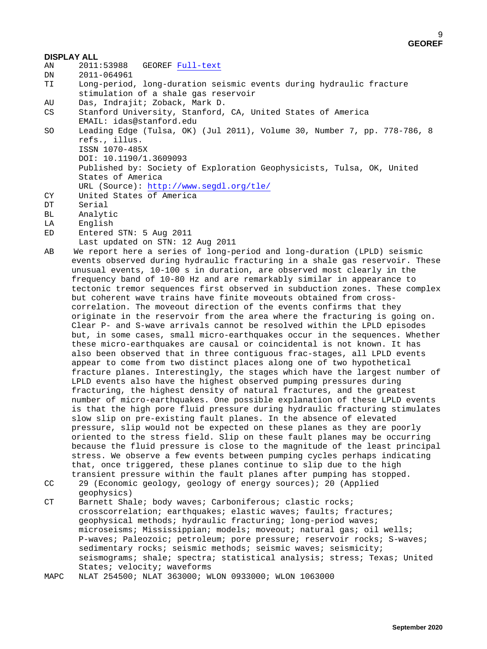- **DISPLAY ALL**<br>AN 2011:53988 AN 2011:53988 GEOREF [Full-text](http://chemport.fiz-karlsruhe.de/cgi-bin/ex_sdcgi?R81_oO2Ppyi37COMi1CxQWVn6nkgzfiWOY0_yFRdWDW7VUfLptL4Yhup69CszDdwwlndNEp8Xy1aZrgwl0zrtW6Q0VBapSVHByE69ZrM6DWCjYfxETozIKUG3eMUSi7ob1AOUy0rD697ojGSTfpJIBfWCmLLDCteE8ilquJqe2rQB4WXFbHF0PL6wkm9A9@D)<br>DN 2011-064961
- DN 2011-064961<br>TI Long-period

Long-period, long-duration seismic events during hydraulic fracture stimulation of a shale gas reservoir

- 
- AU Das, Indrajit; Zoback, Mark D. Stanford University, Stanford, CA, United States of America EMAIL: idas@stanford.edu<br>SO Leading Edge (Tulsa, OK)
- Leading Edge (Tulsa, OK) (Jul 2011), Volume 30, Number 7, pp. 778-786, 8 refs., illus. ISSN 1070-485X

DOI: 10.1190/1.3609093

 Published by: Society of Exploration Geophysicists, Tulsa, OK, United States of America

```
 URL (Source): http://www.segdl.org/tle/
```
- CY United States of America
- DT Serial<br>BL Analyt
- BL Analytic<br>LA English
- LA English<br>ED Entered
- Entered STN: 5 Aug 2011
- Last updated on STN: 12 Aug 2011<br>AB We report here a series of long-p
- We report here a series of long-period and long-duration (LPLD) seismic events observed during hydraulic fracturing in a shale gas reservoir. These unusual events, 10-100 s in duration, are observed most clearly in the frequency band of 10-80 Hz and are remarkably similar in appearance to tectonic tremor sequences first observed in subduction zones. These complex but coherent wave trains have finite moveouts obtained from crosscorrelation. The moveout direction of the events confirms that they originate in the reservoir from the area where the fracturing is going on. Clear P- and S-wave arrivals cannot be resolved within the LPLD episodes but, in some cases, small micro-earthquakes occur in the sequences. Whether these micro-earthquakes are causal or coincidental is not known. It has also been observed that in three contiguous frac-stages, all LPLD events appear to come from two distinct places along one of two hypothetical fracture planes. Interestingly, the stages which have the largest number of LPLD events also have the highest observed pumping pressures during fracturing, the highest density of natural fractures, and the greatest number of micro-earthquakes. One possible explanation of these LPLD events is that the high pore fluid pressure during hydraulic fracturing stimulates slow slip on pre-existing fault planes. In the absence of elevated pressure, slip would not be expected on these planes as they are poorly oriented to the stress field. Slip on these fault planes may be occurring because the fluid pressure is close to the magnitude of the least principal stress. We observe a few events between pumping cycles perhaps indicating that, once triggered, these planes continue to slip due to the high transient pressure within the fault planes after pumping has stopped.
- CC 29 (Economic geology, geology of energy sources); 20 (Applied geophysics)<br>CT Barnett Sha
- Barnett Shale; body waves; Carboniferous; clastic rocks; crosscorrelation; earthquakes; elastic waves; faults; fractures; geophysical methods; hydraulic fracturing; long-period waves; microseisms; Mississippian; models; moveout; natural gas; oil wells; P-waves; Paleozoic; petroleum; pore pressure; reservoir rocks; S-waves; sedimentary rocks; seismic methods; seismic waves; seismicity; seismograms; shale; spectra; statistical analysis; stress; Texas; United States; velocity; waveforms<br>MAPC NLAT 254500; NLAT 363000; W
- MAPC NLAT 254500; NLAT 363000; WLON 0933000; WLON 1063000